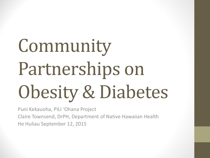# Community Partnerships on Obesity & Diabetes

Puni Kekauoha, PILI 'Ohana Project Claire Townsend, DrPH, Department of Native Hawaiian Health He Huliau September 12, 2015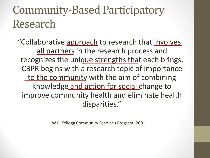#### Community-Based Participatory Research

"Collaborative approach to research that involves all partners in the research process and recognizes the unique strengths that each brings. CBPR begins with a research topic of importance to the community with the aim of combining knowledge and action for social change to improve community health and eliminate health disparities."

W.K. Kellogg Community Scholar's Program (2001)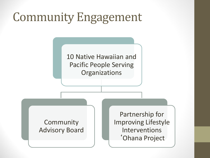### Community Engagement

10 Native Hawaiian and Pacific People Serving **Organizations** 

Community Advisory Board

Partnership for Improving Lifestyle **Interventions** 'Ohana Project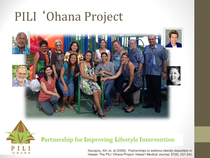# PILI 'Ohana Project





#### Partnership for Improving Lifestyle Intervention

Nacapoy, AH, et. al (2008). Partnerships to address obesity disparities in Hawaii: The PILI 'Ohana Project. *Hawai'i Medical Journal, 67*(9), 237-241.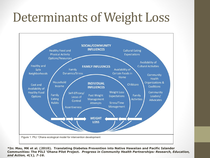# Determinants of Weight Loss



**\*In: Mau, MK et al. (2010). Translating Diabetes Prevention into Native Hawaiian and Pacific Islander Communities: The PILI 'Ohana Pilot Project.** *Progress in Community Health Partnerships: Research, Education, and Action, 4(1), 7-16***.**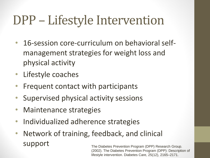# DPP – Lifestyle Intervention

- 16-session core-curriculum on behavioral selfmanagement strategies for weight loss and physical activity
- Lifestyle coaches
- Frequent contact with participants
- Supervised physical activity sessions
- Maintenance strategies
- Individualized adherence strategies
- Network of training, feedback, and clinical support The Diabetes Prevention Program (DPP) Research Group.

(2002). The Diabetes Prevention Program (DPP): Description of lifestyle intervention. Diabetes Care, 25(12), 2165–2171.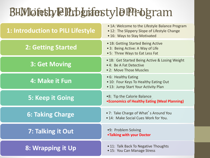#### BHM lofestyle Program

| 1: Introduction to PILI Lifestyle | • 1A: Welcome to the Lifestyle Balance Program<br>• 12: The Slippery Slope of Lifestyle Change<br>• 16: Ways to Stay Motivated |  |  |
|-----------------------------------|--------------------------------------------------------------------------------------------------------------------------------|--|--|
| <b>2: Getting Started</b>         | • 1B: Getting Started Being Active<br>• 3: Being Active: A Way of Life<br>• 5: Three Ways to Eat Less Fat                      |  |  |
| 3: Get Moving                     | • 1B: Get Started Being Active & Losing Weight<br>• 4: Be A Fat Detective<br>• 2: Move Those Muscles                           |  |  |
| 4: Make it Fun                    | • 6: Healthy Eating<br>• 10: Four Keys To Healthy Eating Out<br>• 13: Jump Start Your Activity Plan                            |  |  |
| 5: Keep it Going                  | .8: Tip the Calorie Balance<br>• Economics of Healthy Eating (Meal Planning)                                                   |  |  |
| <b>6: Taking Charge</b>           | • 7: Take Charge of What's Around You<br>• 14: Make Social Cues Work for You.                                                  |  |  |
| 7: Talking it Out                 | •9: Problem Solving<br>. Talking with your Doctor                                                                              |  |  |
| 8: Wrapping it Up                 | • 11: Talk Back To Negative Thoughts<br>• 15: You Can Manage Stress                                                            |  |  |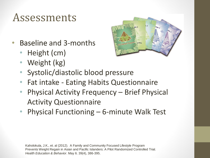#### Assessments

- Baseline and 3-months
	- Height (cm)
	- Weight (kg)



- Systolic/diastolic blood pressure
- Fat intake Eating Habits Questionnaire
- Physical Activity Frequency Brief Physical Activity Questionnaire
- Physical Functioning 6-minute Walk Test

Kaholokula, J.K., et. al (2012). A Family and Community Focused Lifestyle Program Prevents Weight Regain in Asian and Pacific Islanders: A Pilot Randomized Controlled Trial. *Health Education & Behavior*. May 6. 39(4), 386-395.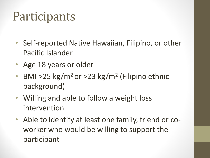#### **Participants**

- Self-reported Native Hawaiian, Filipino, or other Pacific Islander
- Age 18 years or older
- BMI  $\geq$ 25 kg/m<sup>2</sup> or  $\geq$ 23 kg/m<sup>2</sup> (Filipino ethnic background)
- Willing and able to follow a weight loss intervention
- Able to identify at least one family, friend or coworker who would be willing to support the participant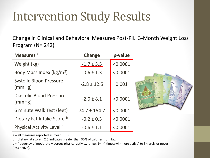### Intervention Study Results

Change in Clinical and Behavioral Measures Post-PILI 3-Month Weight Loss Program (N= 242)

| Measures <sup>a</sup>                    | Change           | p-value  |                       |
|------------------------------------------|------------------|----------|-----------------------|
| Weight (kg)                              | $-1.7 \pm 3.5$   | < 0.0001 |                       |
| Body Mass Index (kg/m <sup>2</sup> )     | $-0.6 \pm 1.3$   | < 0.0001 |                       |
| <b>Systolic Blood Pressure</b><br>(mmHg) | $-2.8 \pm 12.5$  | 0.001    | $s$ <sub>s</sub> on 3 |
| Diastolic Blood Pressure<br>(mmHg)       | $-2.0 \pm 8.1$   | < 0.0001 |                       |
| 6 minute Walk Test (feet)                | $74.7 \pm 154.7$ | < 0.0001 |                       |
| Dietary Fat Intake Score b               | $-0.2 \pm 0.3$   | < 0.0001 |                       |
| Physical Activity Level <sup>c</sup>     | $-0.6 \pm 1.1$   | < 0.0001 |                       |

a = all measures reported as mean + SD;

b = dietary fat score  $\geq$  2.5 indicates greater than 30% of calories from fat.

c = frequency of moderate-vigorous physical activity, range: 1= >4 times/wk (more active) to 5=rarely or never (less active).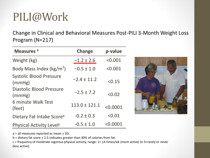#### PILI@Work

Change in Clinical and Behavioral Measures Post-PILI 3-Month Weight Loss Program (N=217)

| Measures <sup>a</sup>                    | <b>Change</b>     | p-value  |
|------------------------------------------|-------------------|----------|
| Weight (kg)                              | $-1.2 \pm 2.6$    | < 0.001  |
| Body Mass Index ( $\text{kg/m}^2$ )      | $-0.5 \pm 1.0$    | < 0.001  |
| <b>Systolic Blood Pressure</b><br>(mmHg) | $-2.4 \pm 11.2$   | < 0.15   |
| Diastolic Blood Pressure<br>(mmHg)       | $-2.5 \pm 7.2$    | < 0.02   |
| 6 minute Walk Test<br>(feet)             | $113.0 \pm 121.1$ | < 0.0001 |
| Dietary Fat Intake Scoreb                | $-0.2 \pm 0.3$    | < 0.01   |
| Physical Activity Level <sup>c</sup>     | $-0.5 \pm 1.0$    | < 0.0001 |



 $a =$  all measures reported as mean  $\pm$  SD;

b = dietary fat score  $\geq$  2.5 indicates greater than 30% of calories from fat.

c = frequency of moderate-vigorous physical activity, range: 1= >4 times/wk (more active) to 5=rarely or never (less active).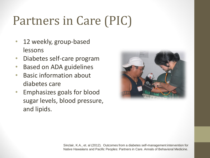# Partners in Care (PIC)

- 12 weekly, group-based lessons
- Diabetes self-care program
- Based on ADA guidelines
- Basic information about diabetes care
- Emphasizes goals for blood sugar levels, blood pressure, and lipids.



Sinclair, K.A., et. al (2012). Outcomes from a diabetes self-management intervention for Native Hawaiians and Pacific Peoples: Partners in Care. Annals of Behavioral Medicine.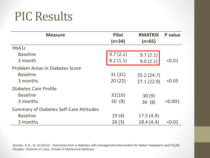#### PIC Results

| <b>Measure</b>                          | <b>Pilot</b><br>$(n=34)$ | <b>RMATRIX</b><br>$(n=65)$ | P value |
|-----------------------------------------|--------------------------|----------------------------|---------|
| HbA1c                                   |                          |                            |         |
| <b>Baseline</b>                         | 9.7(2.1)                 | 9.7(2.1)                   |         |
| 3 month                                 | 8.2(1.1)                 | 9.0(2.1)                   | < 0.01  |
| <b>Problem Areas in Diabetes Score</b>  |                          |                            |         |
| <b>Baseline</b>                         | 31(31)                   | 35.2(24.7)                 |         |
| 3 months                                | 20(22)                   | 27.1(22.9)                 | < 0.05  |
| Diabetes Care Profile                   |                          |                            |         |
| <b>Baseline</b>                         | 31(10)                   | 30(9)                      |         |
| 3 months                                | 50(9)                    | 36(8)                      | < 0.001 |
| Summary of Diabetes Self-Care Attitudes |                          |                            |         |
| <b>Baseline</b>                         | 19(4)                    | 17.5(4.9)                  |         |
| 3 months                                | 26(3)                    | 18.4(4.4)                  | < 0.01  |

Sinclair, K.A., et. al (2012). Outcomes from a diabetes self-management intervention for Native Hawaiians and Pacific Peoples: Partners in Care. Annals of Behavioral Medicine.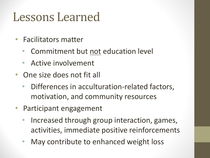#### Lessons Learned

- Facilitators matter
	- Commitment but not education level
	- Active involvement
- One size does not fit all
	- Differences in acculturation-related factors, motivation, and community resources
- Participant engagement
	- Increased through group interaction, games, activities, immediate positive reinforcements
	- May contribute to enhanced weight loss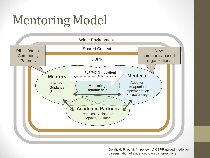# Mentoring Model



Delafield, R. et. al. (in review) A CBPR guided model for dissemination of evidenced-based interventions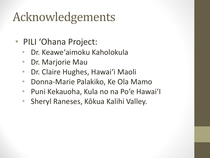# Acknowledgements

- PILI 'Ohana Project:
	- Dr. Keawe'aimoku Kaholokula
	- Dr. Marjorie Mau
	- Dr. Claire Hughes, Hawai'i Maoli
	- Donna-Marie Palakiko, Ke Ola Mamo
	- Puni Kekauoha, Kula no na Po'e Hawai'I
	- Sheryl Raneses, Kōkua Kalihi Valley.